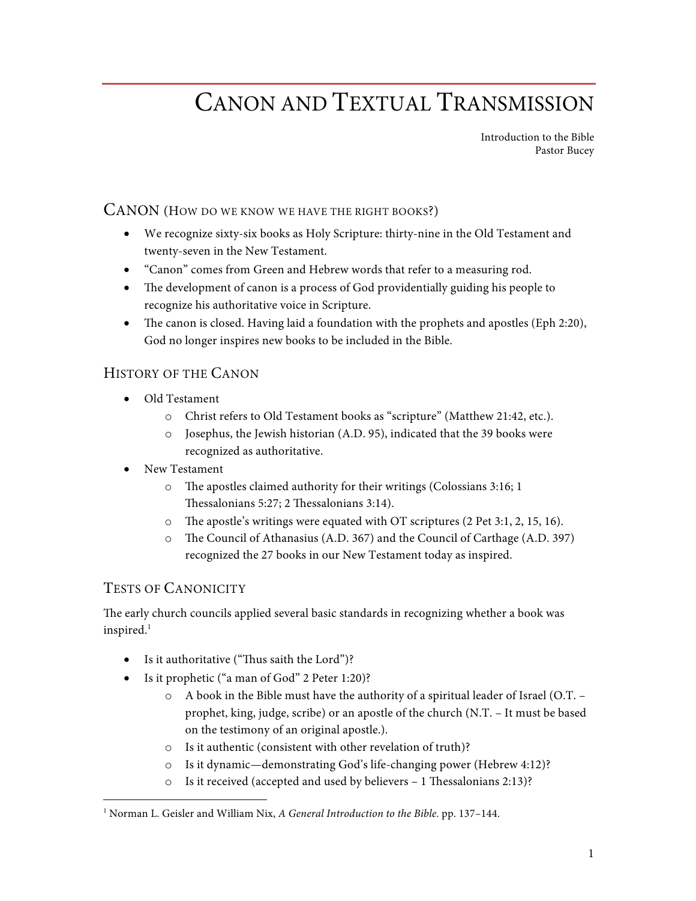# CANON AND TEXTUAL TRANSMISSION

Introduction to the Bible Pastor Bucey

### CANON (HOW DO WE KNOW WE HAVE THE RIGHT BOOKS?)

- We recognize sixty-six books as Holy Scripture: thirty-nine in the Old Testament and twenty-seven in the New Testament.
- "Canon" comes from Green and Hebrew words that refer to a measuring rod.
- The development of canon is a process of God providentially guiding his people to recognize his authoritative voice in Scripture.
- The canon is closed. Having laid a foundation with the prophets and apostles (Eph 2:20), God no longer inspires new books to be included in the Bible.

### HISTORY OF THE CANON

- Old Testament
	- o Christ refers to Old Testament books as "scripture" (Matthew 21:42, etc.).
	- o Josephus, the Jewish historian (A.D. 95), indicated that the 39 books were recognized as authoritative.
- New Testament
	- o The apostles claimed authority for their writings (Colossians 3:16; 1 Thessalonians 5:27; 2 Thessalonians 3:14).
	- o The apostle's writings were equated with OT scriptures (2 Pet 3:1, 2, 15, 16).
	- o The Council of Athanasius (A.D. 367) and the Council of Carthage (A.D. 397) recognized the 27 books in our New Testament today as inspired.

### TESTS OF CANONICITY

The early church councils applied several basic standards in recognizing whether a book was inspired.<sup>1</sup>

- Is it authoritative ("Thus saith the Lord")?
- Is it prophetic ("a man of God" 2 Peter 1:20)?
	- $\circ$  A book in the Bible must have the authority of a spiritual leader of Israel (O.T. prophet, king, judge, scribe) or an apostle of the church (N.T. – It must be based on the testimony of an original apostle.).
	- o Is it authentic (consistent with other revelation of truth)?
	- o Is it dynamic—demonstrating God's life-changing power (Hebrew 4:12)?
	- o Is it received (accepted and used by believers 1 Thessalonians 2:13)?

 <sup>1</sup> Norman L. Geisler and William Nix, *A General Introduction to the Bible*. pp. 137–144.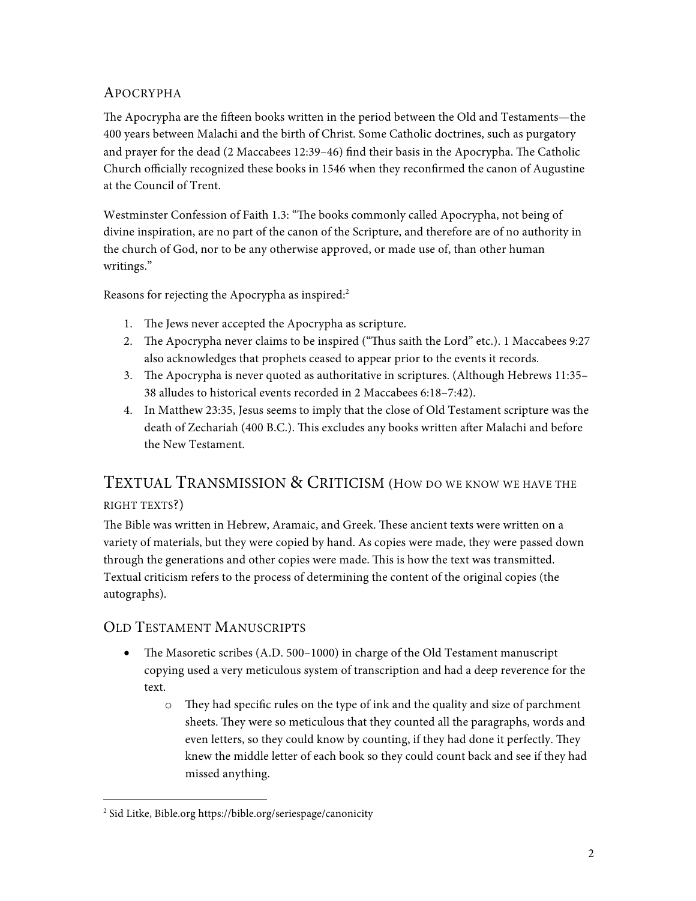# APOCRYPHA

The Apocrypha are the fifteen books written in the period between the Old and Testaments—the 400 years between Malachi and the birth of Christ. Some Catholic doctrines, such as purgatory and prayer for the dead (2 Maccabees 12:39–46) find their basis in the Apocrypha. The Catholic Church officially recognized these books in 1546 when they reconfirmed the canon of Augustine at the Council of Trent.

Westminster Confession of Faith 1.3: "The books commonly called Apocrypha, not being of divine inspiration, are no part of the canon of the Scripture, and therefore are of no authority in the church of God, nor to be any otherwise approved, or made use of, than other human writings."

Reasons for rejecting the Apocrypha as inspired:<sup>2</sup>

- 1. The Jews never accepted the Apocrypha as scripture.
- 2. The Apocrypha never claims to be inspired ("Thus saith the Lord" etc.). 1 Maccabees 9:27 also acknowledges that prophets ceased to appear prior to the events it records.
- 3. The Apocrypha is never quoted as authoritative in scriptures. (Although Hebrews 11:35– 38 alludes to historical events recorded in 2 Maccabees 6:18–7:42).
- 4. In Matthew 23:35, Jesus seems to imply that the close of Old Testament scripture was the death of Zechariah (400 B.C.). This excludes any books written after Malachi and before the New Testament.

# TEXTUAL TRANSMISSION & CRITICISM (HOW DO WE KNOW WE HAVE THE

### RIGHT TEXTS?)

The Bible was written in Hebrew, Aramaic, and Greek. These ancient texts were written on a variety of materials, but they were copied by hand. As copies were made, they were passed down through the generations and other copies were made. This is how the text was transmitted. Textual criticism refers to the process of determining the content of the original copies (the autographs).

## OLD TESTAMENT MANUSCRIPTS

- The Masoretic scribes (A.D. 500–1000) in charge of the Old Testament manuscript copying used a very meticulous system of transcription and had a deep reverence for the text.
	- o They had specific rules on the type of ink and the quality and size of parchment sheets. They were so meticulous that they counted all the paragraphs, words and even letters, so they could know by counting, if they had done it perfectly. They knew the middle letter of each book so they could count back and see if they had missed anything.

 <sup>2</sup> Sid Litke, Bible.org https://bible.org/seriespage/canonicity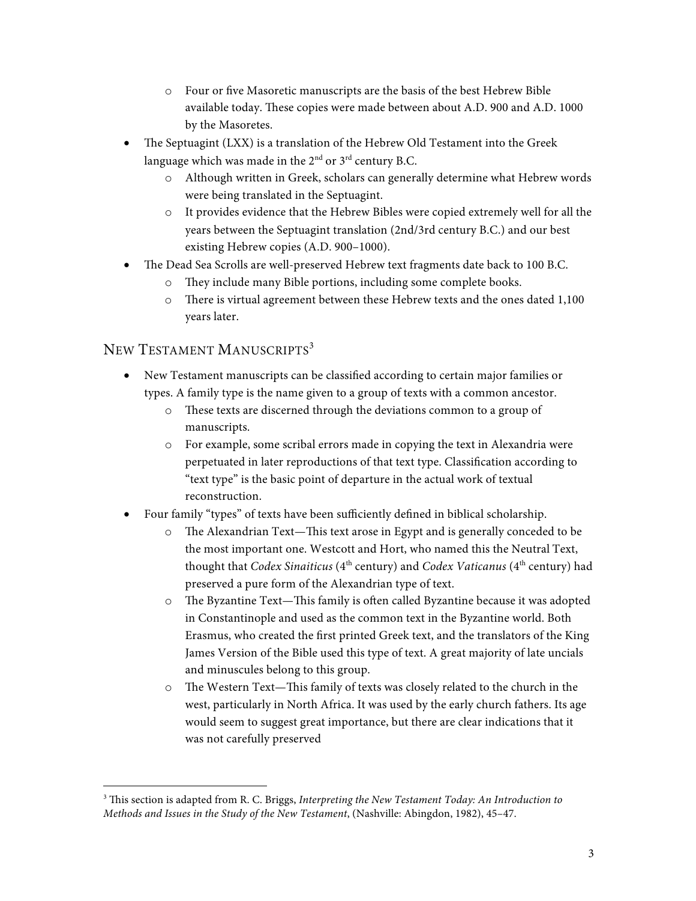- o Four or five Masoretic manuscripts are the basis of the best Hebrew Bible available today. These copies were made between about A.D. 900 and A.D. 1000 by the Masoretes.
- The Septuagint (LXX) is a translation of the Hebrew Old Testament into the Greek language which was made in the  $2<sup>nd</sup>$  or  $3<sup>rd</sup>$  century B.C.
	- o Although written in Greek, scholars can generally determine what Hebrew words were being translated in the Septuagint.
	- o It provides evidence that the Hebrew Bibles were copied extremely well for all the years between the Septuagint translation (2nd/3rd century B.C.) and our best existing Hebrew copies (A.D. 900–1000).
- The Dead Sea Scrolls are well-preserved Hebrew text fragments date back to 100 B.C.
	- o They include many Bible portions, including some complete books.
	- o There is virtual agreement between these Hebrew texts and the ones dated 1,100 years later.

## NEW TESTAMENT MANUSCRIPTS<sup>3</sup>

- New Testament manuscripts can be classified according to certain major families or types. A family type is the name given to a group of texts with a common ancestor.
	- o These texts are discerned through the deviations common to a group of manuscripts.
	- o For example, some scribal errors made in copying the text in Alexandria were perpetuated in later reproductions of that text type. Classification according to "text type" is the basic point of departure in the actual work of textual reconstruction.
- Four family "types" of texts have been sufficiently defined in biblical scholarship.
	- o The Alexandrian Text—This text arose in Egypt and is generally conceded to be the most important one. Westcott and Hort, who named this the Neutral Text, thought that *Codex Sinaiticus* (4<sup>th</sup> century) and *Codex Vaticanus* (4<sup>th</sup> century) had preserved a pure form of the Alexandrian type of text.
	- o The Byzantine Text—This family is often called Byzantine because it was adopted in Constantinople and used as the common text in the Byzantine world. Both Erasmus, who created the first printed Greek text, and the translators of the King James Version of the Bible used this type of text. A great majority of late uncials and minuscules belong to this group.
	- o The Western Text—This family of texts was closely related to the church in the west, particularly in North Africa. It was used by the early church fathers. Its age would seem to suggest great importance, but there are clear indications that it was not carefully preserved

 <sup>3</sup> This section is adapted from R. C. Briggs, *Interpreting the New Testament Today: An Introduction to Methods and Issues in the Study of the New Testament*, (Nashville: Abingdon, 1982), 45–47.